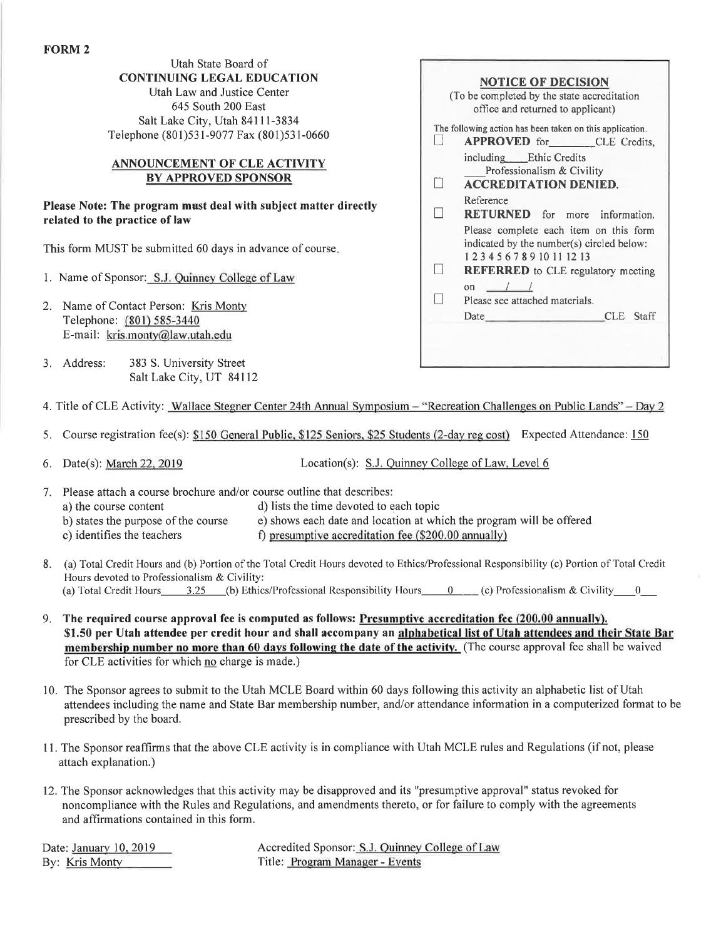## Utah State Board of CONTINUING LEGAL EDUCATION

Utah Law and Justice Center 645 South 200 East Salt Lake Ciry, Utah 8411l-3834 Telephone (801)53 l-9077 Fax (801)53 l-0660

## ANNOUNCEMENT OF CLE ACTIVITY BY APPROVED SPONSOR

Please Note: The program must deal with subject matter directly related to the practice of law

This form MUST be submitted 60 days in advance of course

- 1. Name of Sponsor: S.J. Ouinney College of Law
- 2. Name of Contact Person: Kris Monty Telephone: (801) 585-3440 E-mail: kris.montv@law.utah.edu
- 3. Address: <sup>383</sup>S. University Street Salt Lake City, UT 84112

| <b>NOTICE OF DECISION</b>                                |                                                                                                                                                                                                                                            |  |  |
|----------------------------------------------------------|--------------------------------------------------------------------------------------------------------------------------------------------------------------------------------------------------------------------------------------------|--|--|
| (To be completed by the state accreditation)             |                                                                                                                                                                                                                                            |  |  |
|                                                          | office and returned to applicant)                                                                                                                                                                                                          |  |  |
| The following action has been taken on this application. |                                                                                                                                                                                                                                            |  |  |
| $\Box$                                                   | <b>APPROVED</b> for CLE Credits,                                                                                                                                                                                                           |  |  |
|                                                          | including Ethic Credits                                                                                                                                                                                                                    |  |  |
|                                                          | Professionalism & Civility                                                                                                                                                                                                                 |  |  |
| П                                                        | <b>ACCREDITATION DENIED.</b>                                                                                                                                                                                                               |  |  |
|                                                          | Reference                                                                                                                                                                                                                                  |  |  |
| $\overline{\phantom{0}}$                                 | <b>RETURNED</b> for more information.                                                                                                                                                                                                      |  |  |
|                                                          | Please complete each item on this form                                                                                                                                                                                                     |  |  |
|                                                          | indicated by the number(s) circled below:                                                                                                                                                                                                  |  |  |
|                                                          | 1 2 3 4 5 6 7 8 9 10 11 12 13                                                                                                                                                                                                              |  |  |
| $\mathsf{I}$                                             | <b>REFERRED</b> to CLE regulatory meeting                                                                                                                                                                                                  |  |  |
|                                                          | on $/$ /                                                                                                                                                                                                                                   |  |  |
| $\Box$                                                   | Please see attached materials.                                                                                                                                                                                                             |  |  |
|                                                          | CLE Staff<br>Date has been a series of the series of the series of the series of the series of the series of the series of the series of the series of the series of the series of the series of the series of the series of the series of |  |  |
|                                                          |                                                                                                                                                                                                                                            |  |  |
|                                                          |                                                                                                                                                                                                                                            |  |  |
|                                                          |                                                                                                                                                                                                                                            |  |  |
|                                                          |                                                                                                                                                                                                                                            |  |  |

- 4. Title of CLE Activity: Wallace Stegner Center 24th Annual Symposium "Recreation Challenges on Public Lands" Day 2
- 5. Course registration fee(s): \$150 General Public. \$125 Seniors. \$25 Students (2-day ree cost) Expected Attendance: <sup>150</sup>

6. Date(s): March 22, 2019 Location(s): S.J. Quinney College of Law, Level 6

- 7. Please attach a course brochure and/or course outline that describes:
	- a) the course content d) lists the time devoted to each topic
	- b) states the purpose ofthe course e) shows each date and location at which the program will be offered
	- c) identifies the teachers f) presumptive accreditation fee  $(\$200.00$  annually)
- 8. (a) Total Credit Hours and (b) Portion of the Total Credit Hours devoted to Ethics/Professional Responsibility (c) Portion of Total Credit Hours devoted to Professionalism & Civility:
	- (a) Total Credit Hours 3.25 (b) Ethics/Professional Responsibility Hours  $0 \qquad (c)$  Professionalism & Civility 0
- 9. The required course approval fee is computed as follows: Presumptive accreditation fee (200.00 annually). \$1.50 per Utah attendee per credit hour and shall accompany an alphabetical list of Utah attendees and their State Bar membership number no more than 60 days following the date of the activity. (The course approval fee shall be waived for CLE activities for which no charge is made.)
- 10. The Sponsor agrees to submit to the Utah MCLE Board within 60 days following this activity an alphabetic list of Utah attendees including the name and State Bar membership number, and/or attendance information in a computerized format to be prescribed by the board.
- I l. The Sponsor reaffirms that the above CLE activity is in compliance with Utah MCLE rules and Regulations (if not, please attach explanation.)
- 12. The Sponsor acknowledges that this activity may be disapproved and its "presumptive approval" status revoked for noncompliance with the Rules and Regulations, and amendments thereto, or for failure to comply with the agreements and affirmations contained in this form.

Date: January 10, 2019 <br>
Accredited Sponsor: S.J. Quinney College of Law By: Kris Monty Title: Program Manager - Events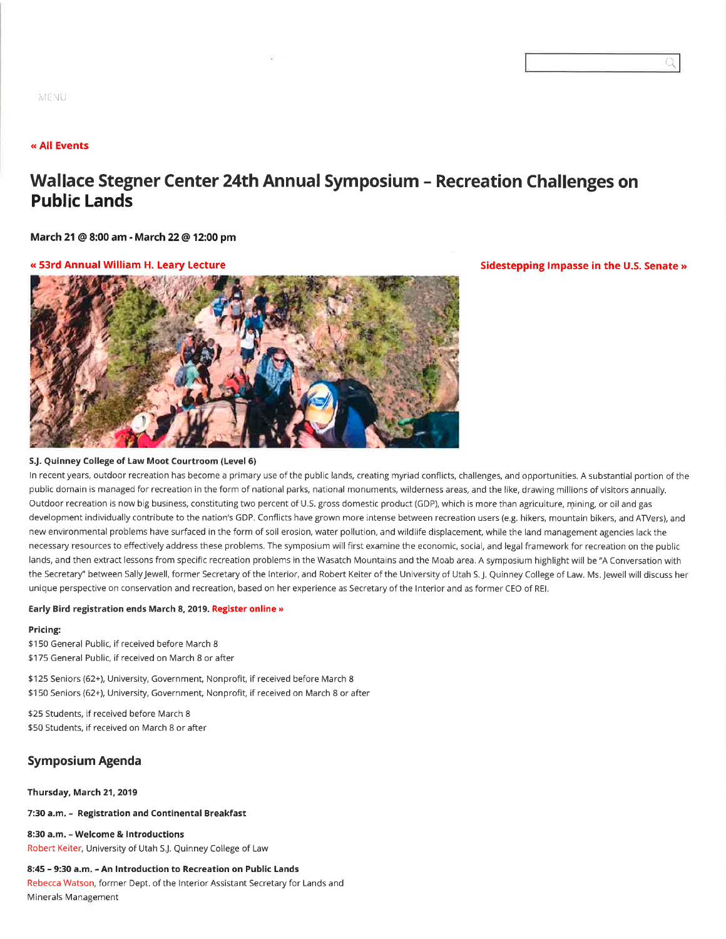## (( All Events

# Wallace Stegner Center 24th Annual Symposium - Recreation Challenges on Public Lands

March 21 @ 8:00 am - March 22 @ f 2:00 pm

#### « 53rd Annual William H. Leary Lecture Sidestepping Impasse in the U.S. Senate »



 $\overline{\circ}$ 

#### SJ. Quinney College of Law Moot Courtroom (Level 6)

In recent years, outdoor recreation has become a primary use of the public lands, creating myriad conflicts, challenges, and opportunities. A substantial portion of the public domain is managed for recreation in the form of national parks, national monuments, wilderness areas, and the like, drawing millions of visitors annually. Outdoor recreation is now big business, constituting two percent of U.S. gross domestic product (GDP), which is more than agriculture, mining, or oil and gas development individually contribute to the nation's GDP. Conflicts have grown more intense between recreation users (e.g. hikers, mountain bikers, and ATVers), and new environmental problems have surfaced in the form of soil erosion, water pollution, and wildlife displacement, while the land management agencies lack the necessary resources to effectively address these problems, The symposium will first examine the economic, social, and legal framework for recreation on the public lands, and then extract lessons from specific recreation problems in the Wasatch Mountains and the Moab area. A symposium highlight will be "A Conversation with the Secretary" between Sally Jewell, former Secretary of the Interior, and Robert Keiter of the University of Utah S. J. Quinney College of Law. Ms. Jewell will discuss her unique perspective on conservation and recreation, based on her experience as Secretary of the Interior and as former CEO of REI.

#### Early Bird registration ends March 8, 2019. Register online »

#### Pricing:

\$150 General Public, if received before March 8 \$175 General Public, if received on March 8 or after

\$125 Seniors (62+), University, Government, Nonprofit, if received before March 8 \$150 Seniors (62+), University, Government, Nonprofit, if received on March 8 or after

\$25 Students, if received before March 8 \$50 Students, if received on March 8 or after

## Symposium Agenda

#### Thursday, March 21, 2019

7:30 a.m. - Registration and Continental Breakfast

8:30 a.m. - Welcome & Introductions Robert Keiter, University of Utah S.J. Quinney College of Law

#### 8:45 - 9:30 a.m. - An Introduction to Recreation on Public Lands

Rebecca Watson, former Dept, of the lnterior Assistant Secretary for Lands and Minerals Management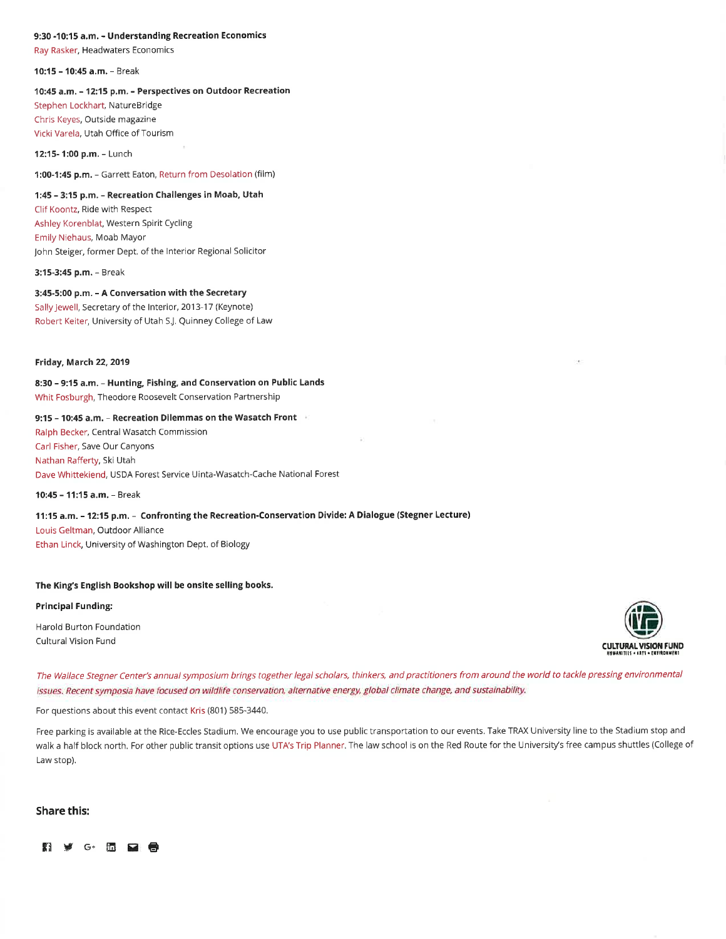## 9:30 -10:15 a,m. - Understanding Recreation Economics

Ray Rasker, Headwaters Economics

10:15 - 10:45 a.m. - Break

#### 10:45 a.m. - 12:15 p.m. - Perspectives on Outdoor Recreation

Stephen Lockhart, NatureBridge Chris Keyes, Outside magazine Vicki Varela, Utah Office of Tourism

12:15- 1:00 p.m. - Lunch

1:00-1:45 p.m. - Garrett Eaton, Return from Desolation (film)

## 1:45 - 3:15 p.m, - Recreation Challenges in Moab, Utah

Clif Koontz, Ride with Respect Ashley Korenblat, Western Spirit Cycling Emily Niehaus, Moab Mayor John Steiger, former Dept. of the Interior Regional Solicitor

3:15-3:45 p.m. - Break

## 3:45-5:00 p.m. - A Conversation with the Secretary Sally Jewell, Secretary of the Interior, 2013-17 (Keynote) Robert Keiter, University of Utah SJ. Quinney college of Law

#### Friday, March 22,2019

8:30 - 9:15 a.m. - Hunting, Fishing, and conservation on Public Lands Whit Fosburgh, Theodore Roosevelt Conservation Partnership

#### 9:15 - 10:45 a.m. - Recreation Dilemmas on the Wasatch Front

Ralph Becker, Central Wasatch Commission Carl Fisher, Save our Canyons Nathan Rafferty, Ski Utah Dave Whittekiend, USDA Forest Service Uinta-Wasatch-Cache National Forest

10:45 - 11:15 â.m. - Break

## 11:15 a.m. - 12:15 p.m. - Confronting the Recreation-Conservation Divide: A Dialogue (Stegner Lecture)

Louis Geltman, Outdoor Alliance Ethan Linck, University of Washington Dept, of Biology

#### The King's English Bookshop will be onsite selling books.

#### Principal Funding:

Harold Burton Foundation



The Wallace Stegner Center's annual symposium brings together legal scholars, thinkers, and practitioners from around the world to tackle pressing environmental issues. Recent symposia have focused on wildlife conservation, alternative energy, global climate change, and sustainability.

For questions about this event contact Kris (801) 585-3440.

Free parking is available at the Rice-Eccles Stadium. We encourage you to use public transportation to our events. Take TRAX University line to the Stadium stop and walk a half block north. For other public transit options use UTA's Trip Planner. The law school is on the Red Route for the University's free campus shuttles (College of Law stop).

## Share this:

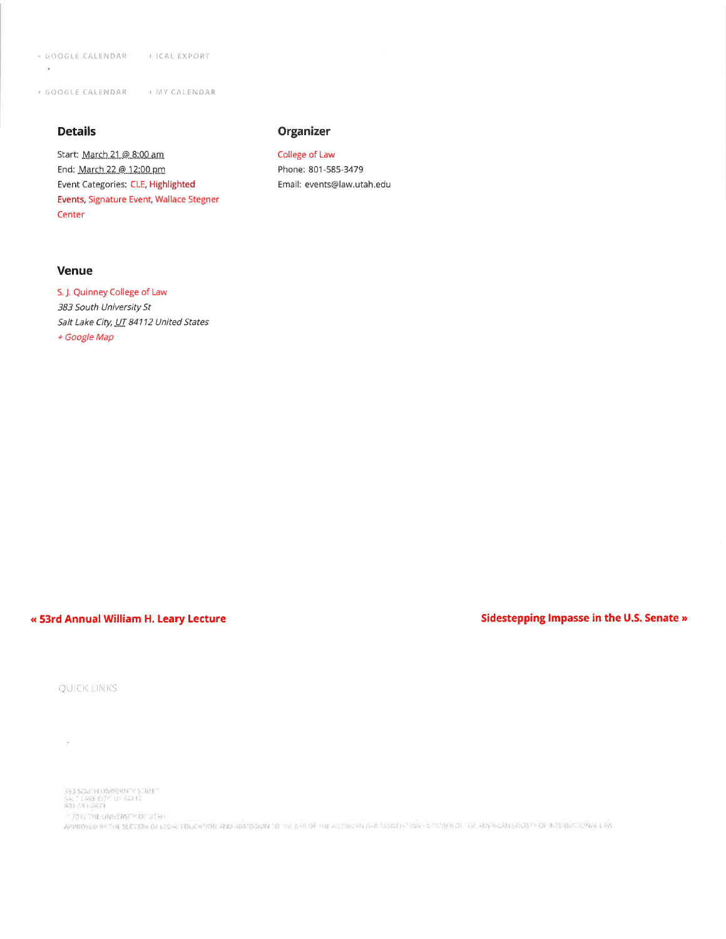+ GOOGLE CALENDAR | INICAL EXPORT  $\overline{\phantom{a}}$ 

+ GOOGLE CALENDAR | MY CALENDAR

## **Details**

Start: March 21.@ 8:00 am End: March 22 @ 12:00 pm Event Categories: CLE, Highlighted Events, Signature Event, Wallace Stegner Center

## Venue

S. J. Quinney College of Law 383 South University St Salt Lake City, UT 84112 United States + Google Map

## « 53rd Annual William H. Leary Lecture

## Sidestepping Impasse in the U.S. Senate »

QUICK LINKS

W.,

363 SOVEH UNIVERSITY STREET<br>SACT LINE CITY UT IIA113<br>ROHSS HREET - 2012 THE ONNERSITY OF LITAH

APPROVED BY THE SECTION OF LEGAL FINICATION AND ADMISSION TO THE BRIDE THE ALTOCAN (AIR ASSOCIATION + E EMPIRICATION CAN BACAN SOCIETY OF INTERNATIONAL LAW

# Organizer

College of Law Phone: 801-585-3479 Email: events@law.utah.edu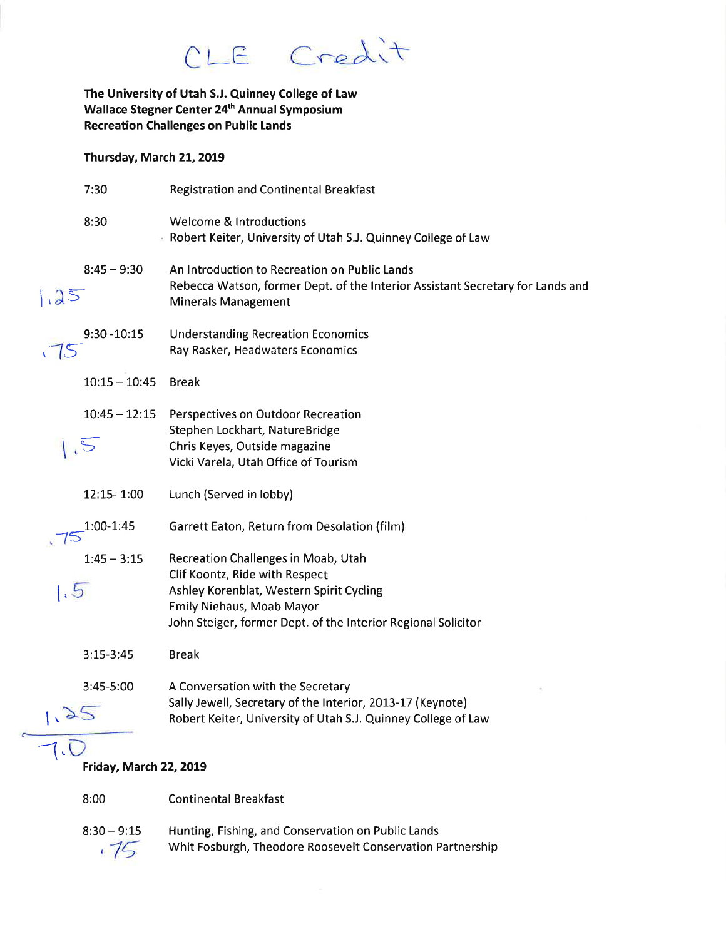CLE Credit

The University of Utah S.J. Quinney College of Law Wallace Stegner Center 24<sup>th</sup> Annual Symposium **Recreation Challenges on Public Lands** 

## Thursday, March 21, 2019

|      | 7:30                          | <b>Registration and Continental Breakfast</b>                                                                                                                                                                   |
|------|-------------------------------|-----------------------------------------------------------------------------------------------------------------------------------------------------------------------------------------------------------------|
|      | 8:30                          | <b>Welcome &amp; Introductions</b><br>Robert Keiter, University of Utah S.J. Quinney College of Law                                                                                                             |
| 1.25 | $8:45 - 9:30$                 | An Introduction to Recreation on Public Lands<br>Rebecca Watson, former Dept. of the Interior Assistant Secretary for Lands and<br><b>Minerals Management</b>                                                   |
|      | $9:30 - 10:15$                | <b>Understanding Recreation Economics</b><br>Ray Rasker, Headwaters Economics                                                                                                                                   |
|      | $10:15 - 10:45$               | <b>Break</b>                                                                                                                                                                                                    |
|      | $10:45 - 12:15$<br>$\sqrt{5}$ | Perspectives on Outdoor Recreation<br>Stephen Lockhart, NatureBridge<br>Chris Keyes, Outside magazine<br>Vicki Varela, Utah Office of Tourism                                                                   |
|      | 12:15-1:00                    | Lunch (Served in lobby)                                                                                                                                                                                         |
|      | 1:00-1:45                     | Garrett Eaton, Return from Desolation (film)                                                                                                                                                                    |
| 1.5  | $1:45 - 3:15$                 | Recreation Challenges in Moab, Utah<br>Clif Koontz, Ride with Respect<br>Ashley Korenblat, Western Spirit Cycling<br>Emily Niehaus, Moab Mayor<br>John Steiger, former Dept. of the Interior Regional Solicitor |
|      | $3:15-3:45$                   | <b>Break</b>                                                                                                                                                                                                    |
|      | 3:45-5:00                     | A Conversation with the Secretary<br>Sally Jewell, Secretary of the Interior, 2013-17 (Keynote)<br>Robert Keiter, University of Utah S.J. Quinney College of Law                                                |
|      |                               |                                                                                                                                                                                                                 |

## Friday, March 22, 2019

8:00 **Continental Breakfast** 

 $8:30 - 9:15$ Hunting, Fishing, and Conservation on Public Lands  $.75$ Whit Fosburgh, Theodore Roosevelt Conservation Partnership